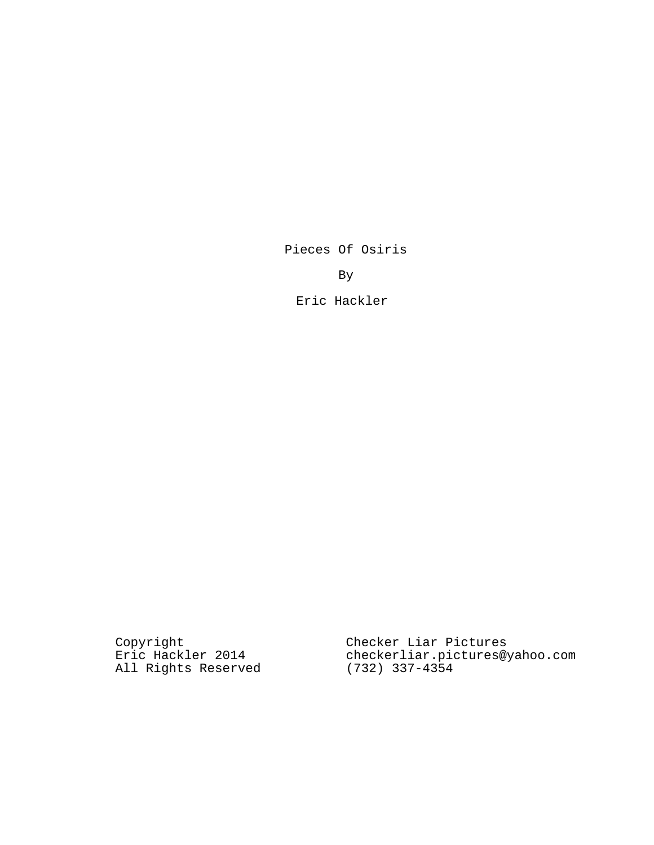Pieces Of Osiris

By

Eric Hackler

Copyright Eric Hackler 2014 All Rights Reserved Checker Liar Pictures checkerliar.pictures@yahoo.com (732) 337-4354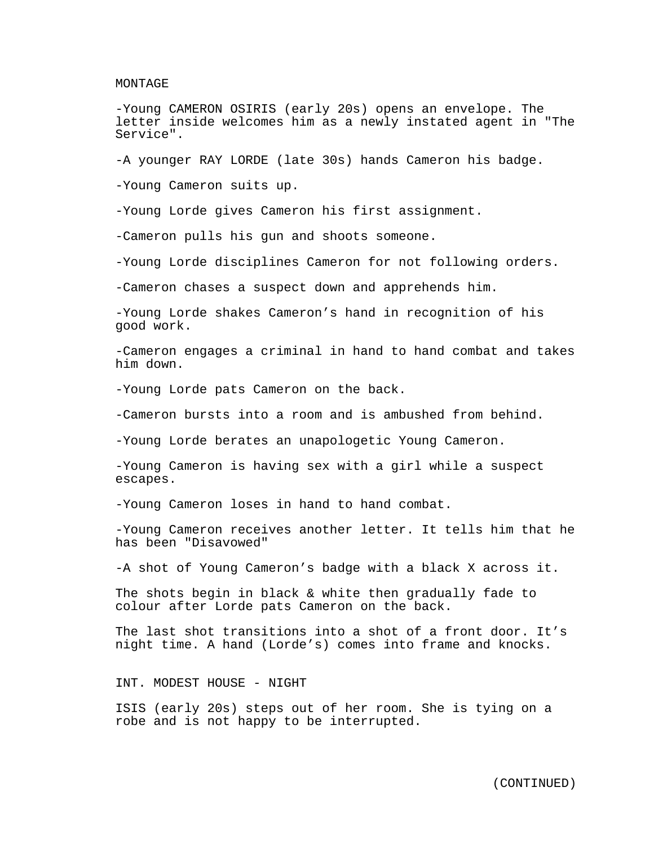MONTAGE

-Young CAMERON OSIRIS (early 20s) opens an envelope. The letter inside welcomes him as a newly instated agent in "The Service".

-A younger RAY LORDE (late 30s) hands Cameron his badge.

-Young Cameron suits up.

-Young Lorde gives Cameron his first assignment.

-Cameron pulls his gun and shoots someone.

-Young Lorde disciplines Cameron for not following orders.

-Cameron chases a suspect down and apprehends him.

-Young Lorde shakes Cameron's hand in recognition of his good work.

-Cameron engages a criminal in hand to hand combat and takes him down.

-Young Lorde pats Cameron on the back.

-Cameron bursts into a room and is ambushed from behind.

-Young Lorde berates an unapologetic Young Cameron.

-Young Cameron is having sex with a girl while a suspect escapes.

-Young Cameron loses in hand to hand combat.

-Young Cameron receives another letter. It tells him that he has been "Disavowed"

-A shot of Young Cameron's badge with a black X across it.

The shots begin in black & white then gradually fade to colour after Lorde pats Cameron on the back.

The last shot transitions into a shot of a front door. It's night time. A hand (Lorde's) comes into frame and knocks.

INT. MODEST HOUSE - NIGHT

ISIS (early 20s) steps out of her room. She is tying on a robe and is not happy to be interrupted.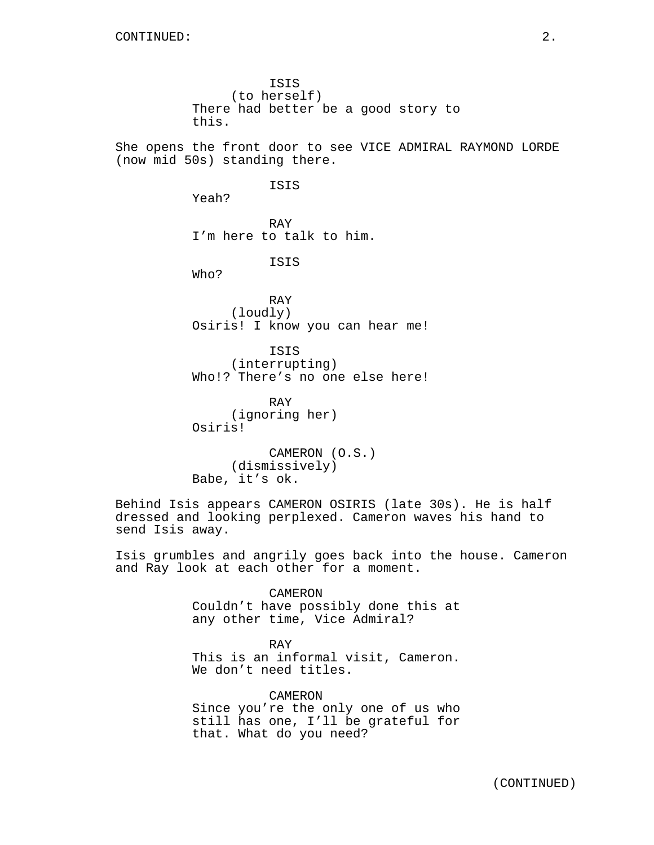ISIS (to herself) There had better be a good story to this.

She opens the front door to see VICE ADMIRAL RAYMOND LORDE (now mid 50s) standing there.

ISIS

Yeah?

RAY I'm here to talk to him.

ISIS

Who?

RAY (loudly) Osiris! I know you can hear me!

ISIS (interrupting) Who!? There's no one else here!

RAY (ignoring her) Osiris!

CAMERON (O.S.) (dismissively) Babe, it's ok.

Behind Isis appears CAMERON OSIRIS (late 30s). He is half dressed and looking perplexed. Cameron waves his hand to send Isis away.

Isis grumbles and angrily goes back into the house. Cameron and Ray look at each other for a moment.

> CAMERON Couldn't have possibly done this at any other time, Vice Admiral?

> RAY This is an informal visit, Cameron. We don't need titles.

CAMERON Since you're the only one of us who still has one, I'll be grateful for that. What do you need?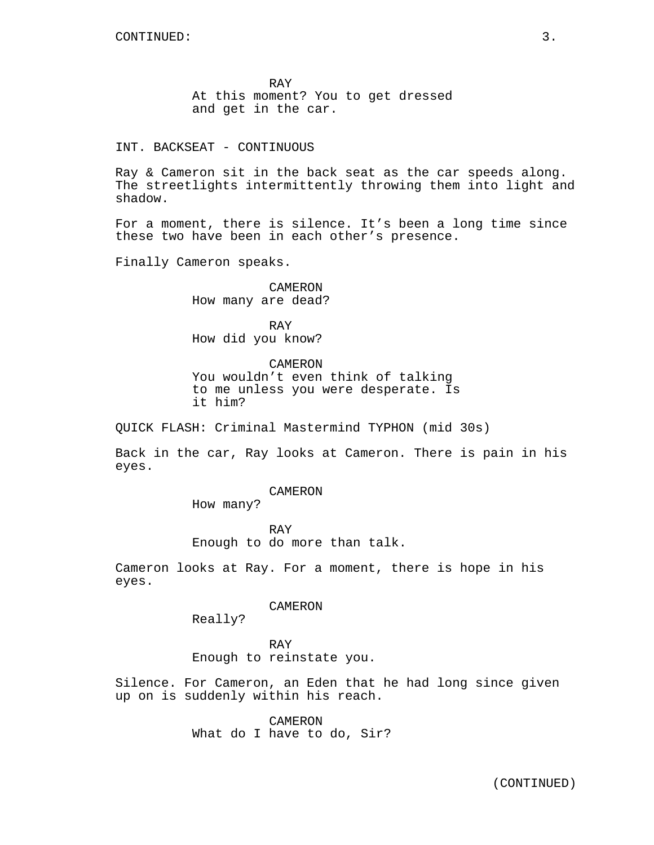RAY At this moment? You to get dressed and get in the car.

INT. BACKSEAT - CONTINUOUS

Ray & Cameron sit in the back seat as the car speeds along. The streetlights intermittently throwing them into light and shadow.

For a moment, there is silence. It's been a long time since these two have been in each other's presence.

Finally Cameron speaks.

CAMERON How many are dead?

RAY How did you know?

CAMERON You wouldn't even think of talking to me unless you were desperate. Is it him?

QUICK FLASH: Criminal Mastermind TYPHON (mid 30s)

Back in the car, Ray looks at Cameron. There is pain in his eyes.

CAMERON

How many?

RAY

Enough to do more than talk.

Cameron looks at Ray. For a moment, there is hope in his eyes.

CAMERON

Really?

RAY Enough to reinstate you.

Silence. For Cameron, an Eden that he had long since given up on is suddenly within his reach.

> CAMERON What do I have to do, Sir?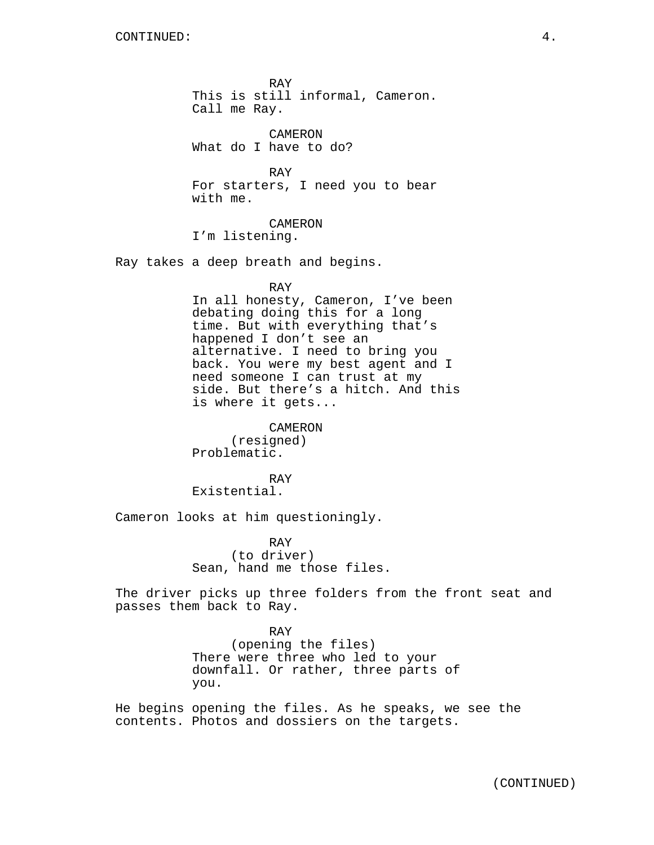RAY This is still informal, Cameron. Call me Ray.

CAMERON What do I have to do?

RAY For starters, I need you to bear with me.

CAMERON I'm listening.

Ray takes a deep breath and begins.

RAY

In all honesty, Cameron, I've been debating doing this for a long time. But with everything that's happened I don't see an alternative. I need to bring you back. You were my best agent and I need someone I can trust at my side. But there's a hitch. And this is where it gets...

CAMERON (resigned) Problematic.

RAY Existential.

Cameron looks at him questioningly.

you.

RAY (to driver) Sean, hand me those files.

The driver picks up three folders from the front seat and passes them back to Ray.

> RAY (opening the files) There were three who led to your downfall. Or rather, three parts of

He begins opening the files. As he speaks, we see the contents. Photos and dossiers on the targets.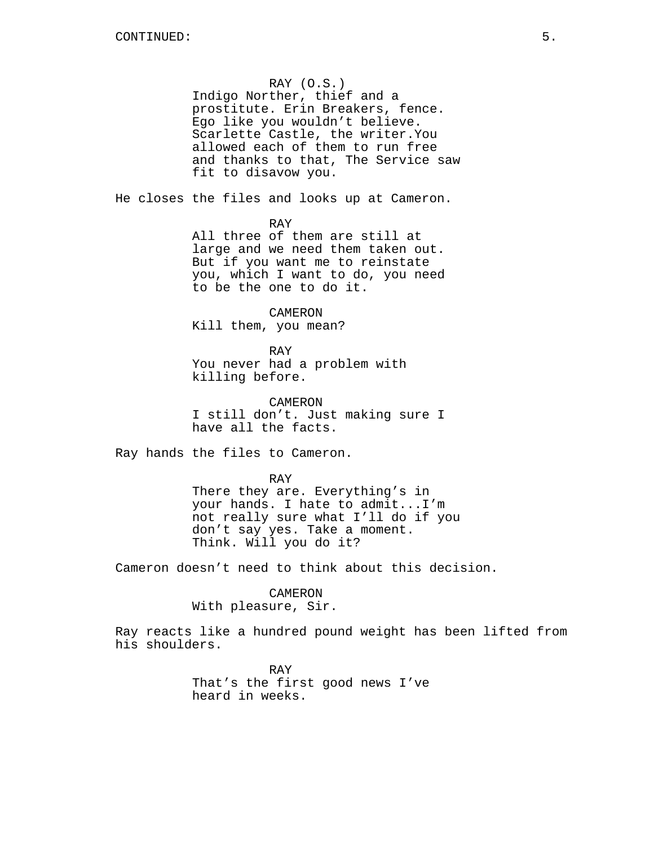## RAY (O.S.)

Indigo Norther, thief and a prostitute. Erin Breakers, fence. Ego like you wouldn't believe. Scarlette Castle, the writer.You allowed each of them to run free and thanks to that, The Service saw fit to disavow you.

He closes the files and looks up at Cameron.

RAY

All three of them are still at large and we need them taken out. But if you want me to reinstate you, which I want to do, you need to be the one to do it.

CAMERON Kill them, you mean?

RAY You never had a problem with killing before.

CAMERON I still don't. Just making sure I have all the facts.

Ray hands the files to Cameron.

RAY

There they are. Everything's in your hands. I hate to admit...I'm not really sure what I'll do if you don't say yes. Take a moment. Think. Will you do it?

Cameron doesn't need to think about this decision.

CAMERON With pleasure, Sir.

Ray reacts like a hundred pound weight has been lifted from his shoulders.

> RAY That's the first good news I've heard in weeks.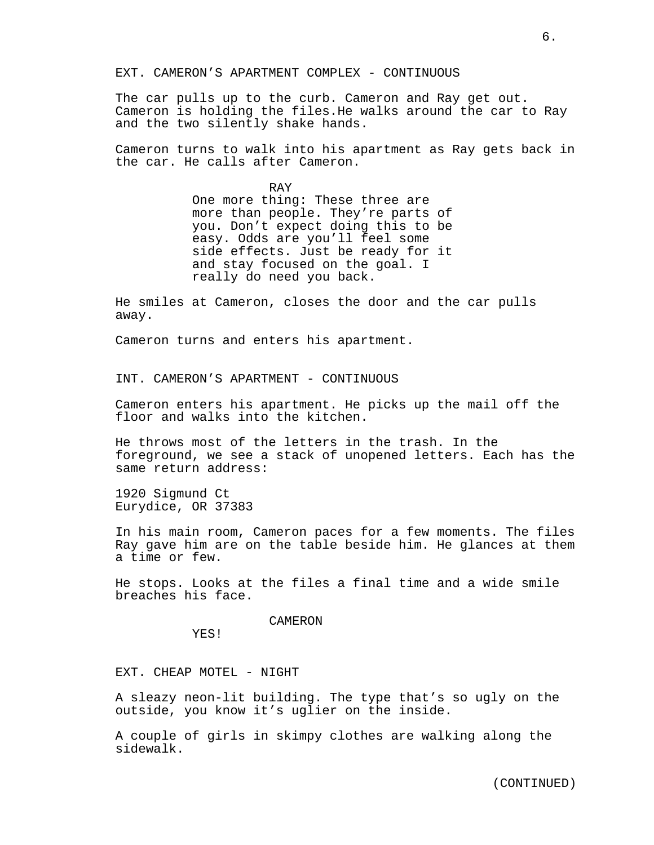EXT. CAMERON'S APARTMENT COMPLEX - CONTINUOUS

The car pulls up to the curb. Cameron and Ray get out. Cameron is holding the files.He walks around the car to Ray and the two silently shake hands.

Cameron turns to walk into his apartment as Ray gets back in the car. He calls after Cameron.

> RAY One more thing: These three are more than people. They're parts of you. Don't expect doing this to be easy. Odds are you'll feel some side effects. Just be ready for it and stay focused on the goal. I really do need you back.

He smiles at Cameron, closes the door and the car pulls away.

Cameron turns and enters his apartment.

INT. CAMERON'S APARTMENT - CONTINUOUS

Cameron enters his apartment. He picks up the mail off the floor and walks into the kitchen.

He throws most of the letters in the trash. In the foreground, we see a stack of unopened letters. Each has the same return address:

1920 Sigmund Ct Eurydice, OR 37383

In his main room, Cameron paces for a few moments. The files Ray gave him are on the table beside him. He glances at them a time or few.

He stops. Looks at the files a final time and a wide smile breaches his face.

#### CAMERON

YES!

EXT. CHEAP MOTEL - NIGHT

A sleazy neon-lit building. The type that's so ugly on the outside, you know it's uglier on the inside.

A couple of girls in skimpy clothes are walking along the sidewalk.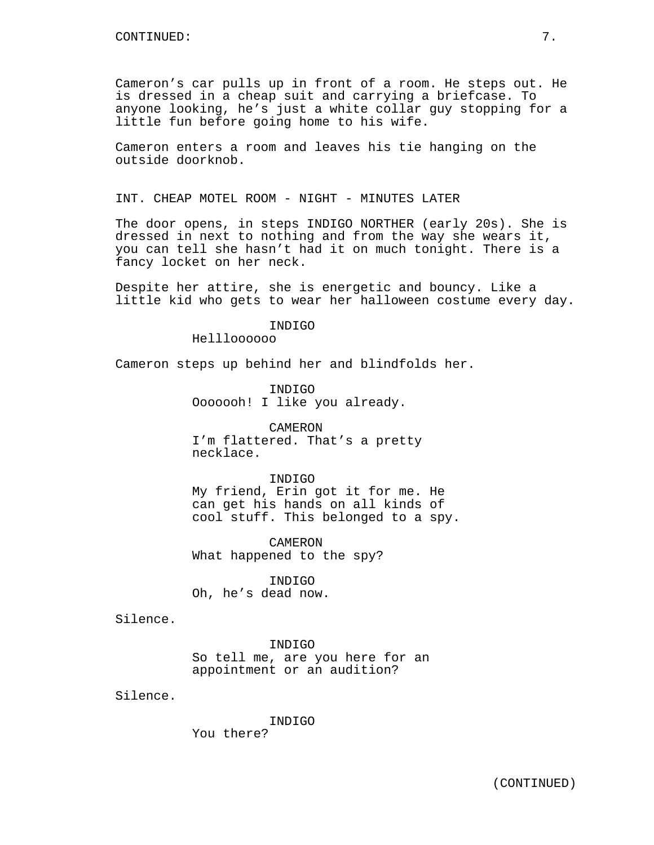Cameron's car pulls up in front of a room. He steps out. He is dressed in a cheap suit and carrying a briefcase. To anyone looking, he's just a white collar guy stopping for a little fun before going home to his wife.

Cameron enters a room and leaves his tie hanging on the outside doorknob.

INT. CHEAP MOTEL ROOM - NIGHT - MINUTES LATER

The door opens, in steps INDIGO NORTHER (early 20s). She is dressed in next to nothing and from the way she wears it, you can tell she hasn't had it on much tonight. There is a fancy locket on her neck.

Despite her attire, she is energetic and bouncy. Like a little kid who gets to wear her halloween costume every day.

### INDIGO

Hellloooooo

Cameron steps up behind her and blindfolds her.

INDIGO Ooooooh! I like you already.

CAMERON I'm flattered. That's a pretty necklace.

#### INDIGO

My friend, Erin got it for me. He can get his hands on all kinds of cool stuff. This belonged to a spy.

CAMERON What happened to the spy?

INDIGO Oh, he's dead now.

Silence.

INDIGO So tell me, are you here for an appointment or an audition?

Silence.

INDIGO You there?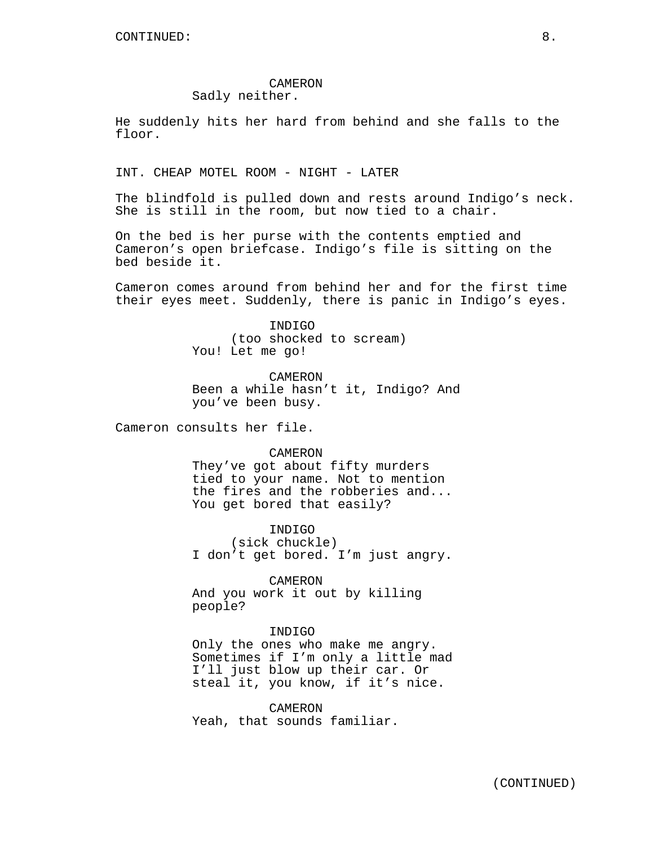# CAMERON

Sadly neither.

He suddenly hits her hard from behind and she falls to the floor.

INT. CHEAP MOTEL ROOM - NIGHT - LATER

The blindfold is pulled down and rests around Indigo's neck. She is still in the room, but now tied to a chair.

On the bed is her purse with the contents emptied and Cameron's open briefcase. Indigo's file is sitting on the bed beside it.

Cameron comes around from behind her and for the first time their eyes meet. Suddenly, there is panic in Indigo's eyes.

> INDIGO (too shocked to scream) You! Let me go!

CAMERON Been a while hasn't it, Indigo? And you've been busy.

Cameron consults her file.

CAMERON

They've got about fifty murders tied to your name. Not to mention the fires and the robberies and... You get bored that easily?

INDIGO

(sick chuckle) I don't get bored. I'm just angry.

CAMERON And you work it out by killing people?

### INDIGO

Only the ones who make me angry. Sometimes if I'm only a little mad I'll just blow up their car. Or steal it, you know, if it's nice.

CAMERON Yeah, that sounds familiar.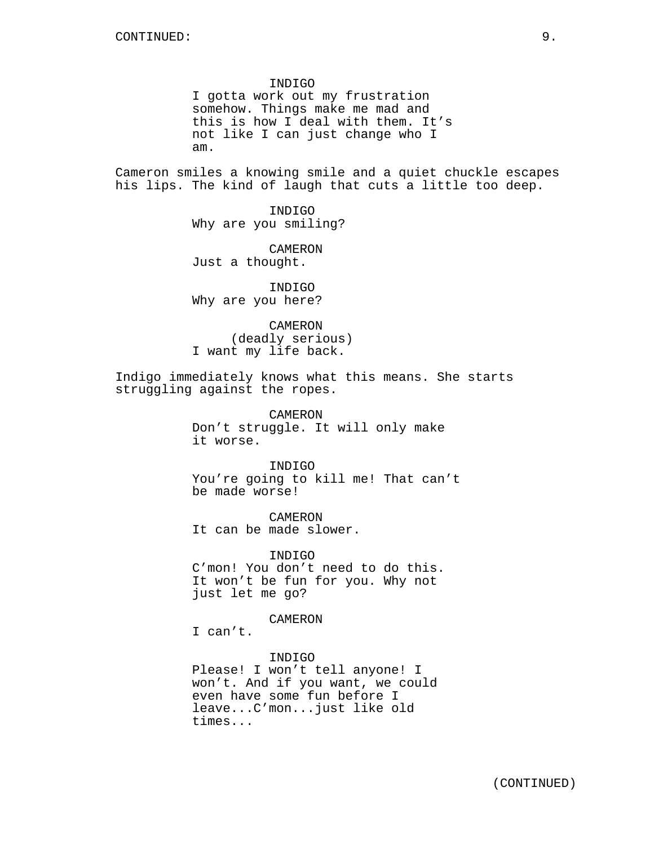#### INDIGO

I gotta work out my frustration somehow. Things make me mad and this is how I deal with them. It's not like I can just change who I am.

Cameron smiles a knowing smile and a quiet chuckle escapes his lips. The kind of laugh that cuts a little too deep.

> INDIGO Why are you smiling?

CAMERON Just a thought.

INDIGO Why are you here?

CAMERON (deadly serious) I want my life back.

Indigo immediately knows what this means. She starts struggling against the ropes.

> CAMERON Don't struggle. It will only make it worse.

INDIGO You're going to kill me! That can't be made worse!

CAMERON It can be made slower.

INDIGO C'mon! You don't need to do this. It won't be fun for you. Why not just let me go?

### CAMERON

I can't.

INDIGO Please! I won't tell anyone! I won't. And if you want, we could even have some fun before I leave...C'mon...just like old times...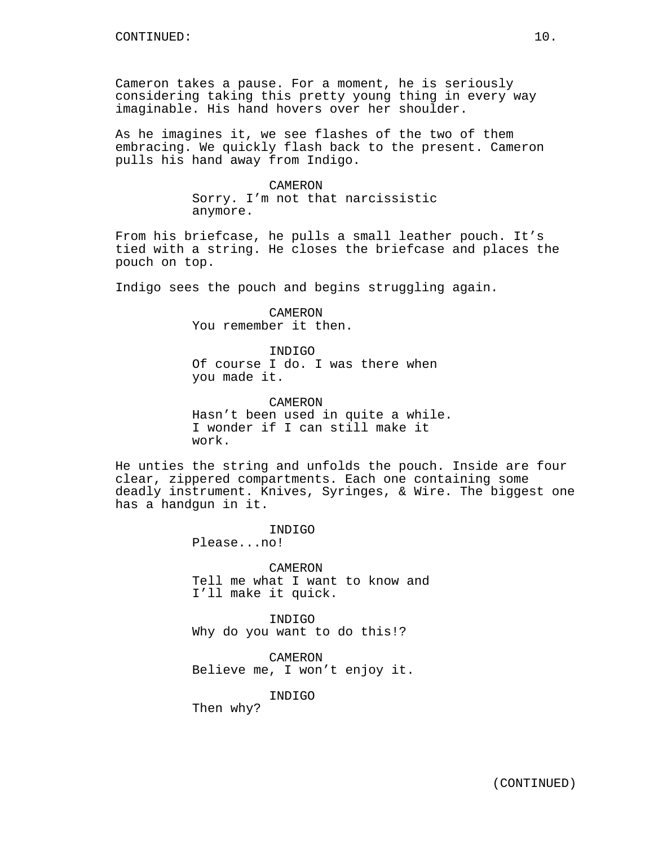Cameron takes a pause. For a moment, he is seriously considering taking this pretty young thing in every way imaginable. His hand hovers over her shoulder.

As he imagines it, we see flashes of the two of them embracing. We quickly flash back to the present. Cameron pulls his hand away from Indigo.

> CAMERON Sorry. I'm not that narcissistic anymore.

From his briefcase, he pulls a small leather pouch. It's tied with a string. He closes the briefcase and places the pouch on top.

Indigo sees the pouch and begins struggling again.

CAMERON You remember it then.

INDIGO Of course I do. I was there when you made it.

CAMERON Hasn't been used in quite a while. I wonder if I can still make it work.

He unties the string and unfolds the pouch. Inside are four clear, zippered compartments. Each one containing some deadly instrument. Knives, Syringes, & Wire. The biggest one has a handgun in it.

> INDIGO Please...no!

CAMERON Tell me what I want to know and I'll make it quick.

INDIGO Why do you want to do this!?

CAMERON Believe me, I won't enjoy it.

INDIGO

Then why?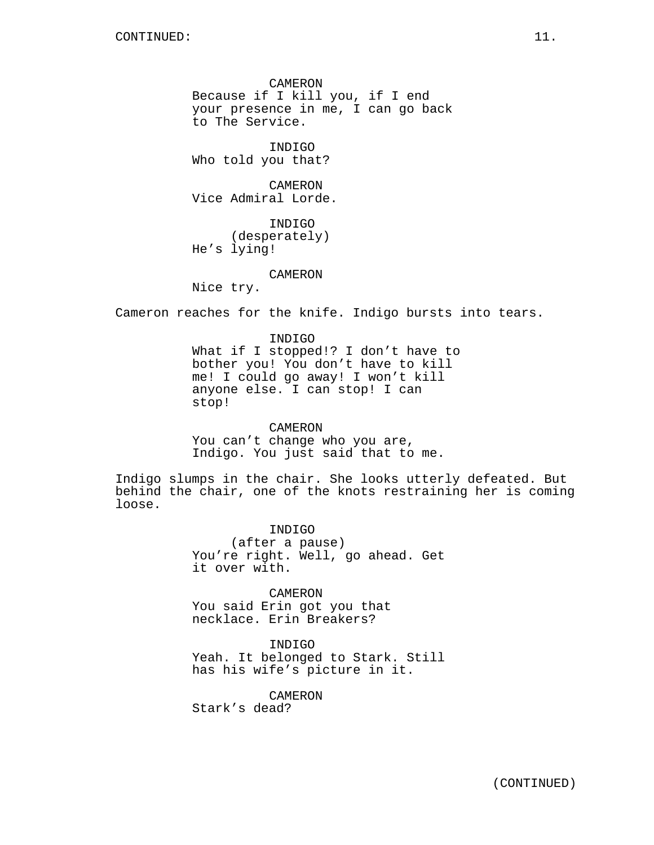CAMERON Because if I kill you, if I end your presence in me, I can go back to The Service.

INDIGO Who told you that?

CAMERON Vice Admiral Lorde.

INDIGO (desperately) He's lying!

#### CAMERON

Nice try.

Cameron reaches for the knife. Indigo bursts into tears.

INDIGO What if I stopped!? I don't have to bother you! You don't have to kill me! I could go away! I won't kill anyone else. I can stop! I can stop!

CAMERON You can't change who you are, Indigo. You just said that to me.

Indigo slumps in the chair. She looks utterly defeated. But behind the chair, one of the knots restraining her is coming loose.

> INDIGO (after a pause) You're right. Well, go ahead. Get it over with.

CAMERON You said Erin got you that necklace. Erin Breakers?

INDIGO Yeah. It belonged to Stark. Still has his wife's picture in it.

CAMERON

Stark's dead?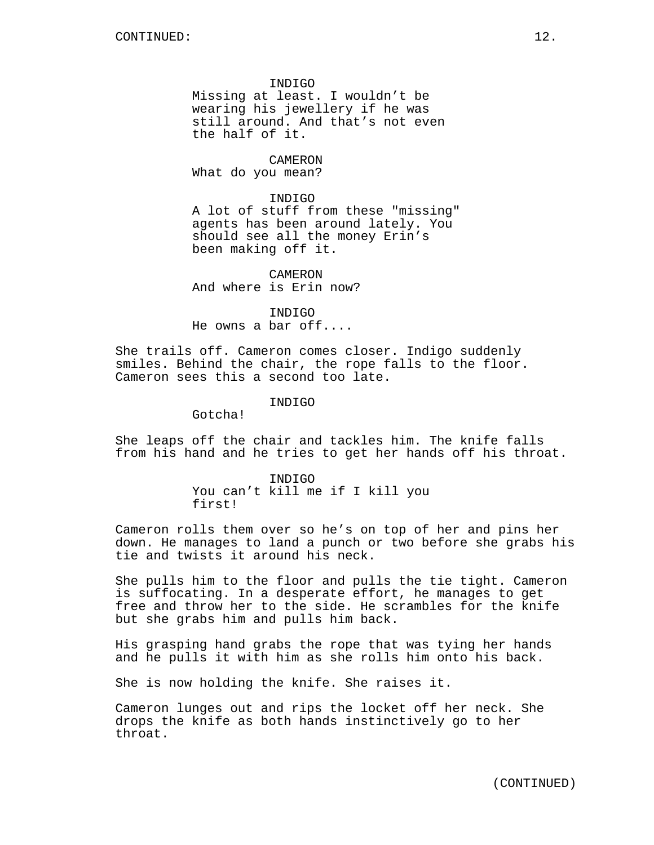INDIGO Missing at least. I wouldn't be wearing his jewellery if he was still around. And that's not even the half of it.

CAMERON What do you mean?

INDIGO A lot of stuff from these "missing" agents has been around lately. You should see all the money Erin's been making off it.

CAMERON And where is Erin now?

INDIGO He owns a bar off....

She trails off. Cameron comes closer. Indigo suddenly smiles. Behind the chair, the rope falls to the floor. Cameron sees this a second too late.

INDIGO

Gotcha!

She leaps off the chair and tackles him. The knife falls from his hand and he tries to get her hands off his throat.

> INDIGO You can't kill me if I kill you first!

Cameron rolls them over so he's on top of her and pins her down. He manages to land a punch or two before she grabs his tie and twists it around his neck.

She pulls him to the floor and pulls the tie tight. Cameron is suffocating. In a desperate effort, he manages to get free and throw her to the side. He scrambles for the knife but she grabs him and pulls him back.

His grasping hand grabs the rope that was tying her hands and he pulls it with him as she rolls him onto his back.

She is now holding the knife. She raises it.

Cameron lunges out and rips the locket off her neck. She drops the knife as both hands instinctively go to her throat.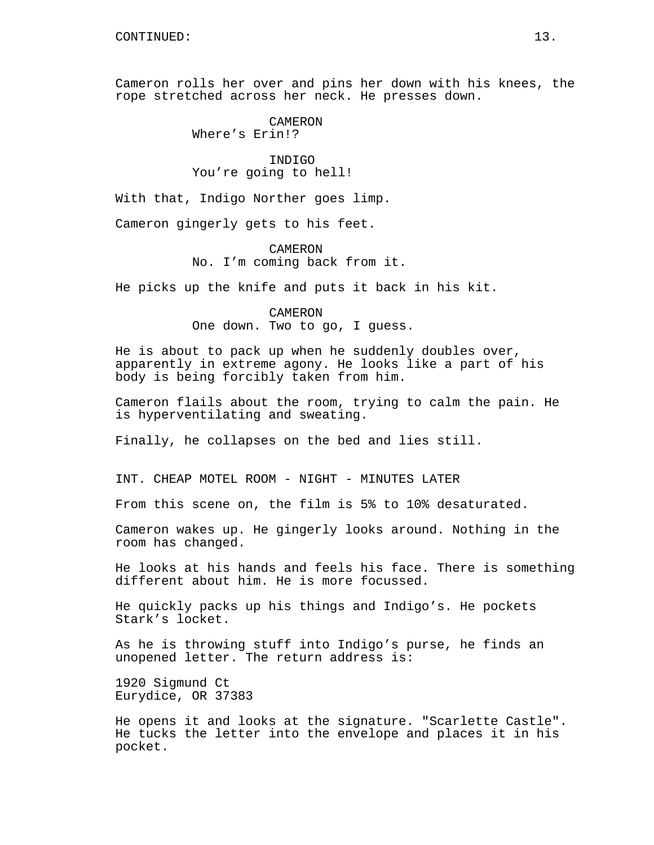Cameron rolls her over and pins her down with his knees, the rope stretched across her neck. He presses down.

> CAMERON Where's Erin!?

INDIGO You're going to hell!

With that, Indigo Norther goes limp.

Cameron gingerly gets to his feet.

CAMERON No. I'm coming back from it.

He picks up the knife and puts it back in his kit.

CAMERON One down. Two to go, I guess.

He is about to pack up when he suddenly doubles over, apparently in extreme agony. He looks like a part of his body is being forcibly taken from him.

Cameron flails about the room, trying to calm the pain. He is hyperventilating and sweating.

Finally, he collapses on the bed and lies still.

INT. CHEAP MOTEL ROOM - NIGHT - MINUTES LATER

From this scene on, the film is 5% to 10% desaturated.

Cameron wakes up. He gingerly looks around. Nothing in the room has changed.

He looks at his hands and feels his face. There is something different about him. He is more focussed.

He quickly packs up his things and Indigo's. He pockets Stark's locket.

As he is throwing stuff into Indigo's purse, he finds an unopened letter. The return address is:

1920 Sigmund Ct Eurydice, OR 37383

He opens it and looks at the signature. "Scarlette Castle". He tucks the letter into the envelope and places it in his pocket.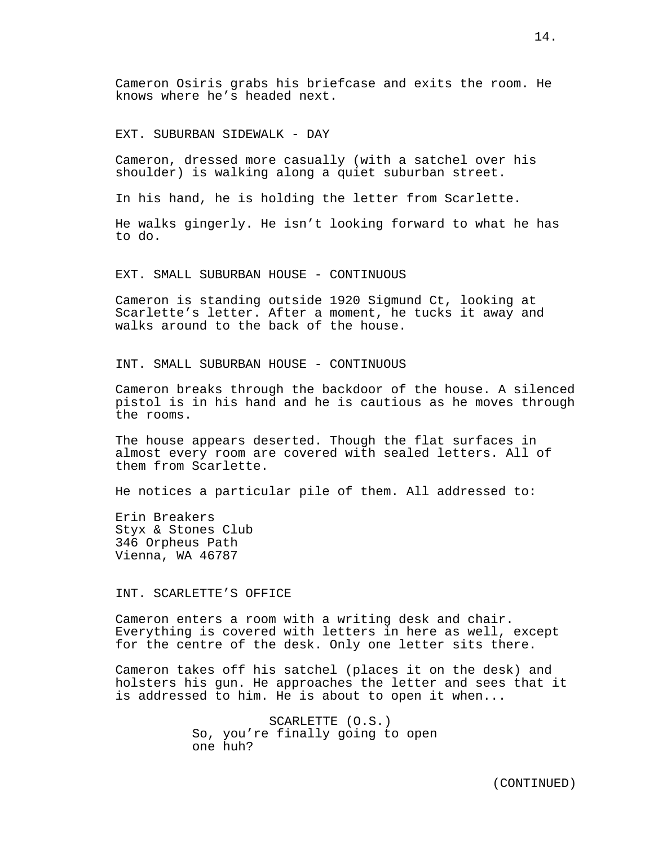Cameron Osiris grabs his briefcase and exits the room. He knows where he's headed next.

EXT. SUBURBAN SIDEWALK - DAY

Cameron, dressed more casually (with a satchel over his shoulder) is walking along a quiet suburban street.

In his hand, he is holding the letter from Scarlette.

He walks gingerly. He isn't looking forward to what he has to do.

EXT. SMALL SUBURBAN HOUSE - CONTINUOUS

Cameron is standing outside 1920 Sigmund Ct, looking at Scarlette's letter. After a moment, he tucks it away and walks around to the back of the house.

INT. SMALL SUBURBAN HOUSE - CONTINUOUS

Cameron breaks through the backdoor of the house. A silenced pistol is in his hand and he is cautious as he moves through the rooms.

The house appears deserted. Though the flat surfaces in almost every room are covered with sealed letters. All of them from Scarlette.

He notices a particular pile of them. All addressed to:

Erin Breakers Styx & Stones Club 346 Orpheus Path Vienna, WA 46787

INT. SCARLETTE'S OFFICE

Cameron enters a room with a writing desk and chair. Everything is covered with letters in here as well, except for the centre of the desk. Only one letter sits there.

Cameron takes off his satchel (places it on the desk) and holsters his gun. He approaches the letter and sees that it is addressed to him. He is about to open it when...

> SCARLETTE (O.S.) So, you're finally going to open one huh?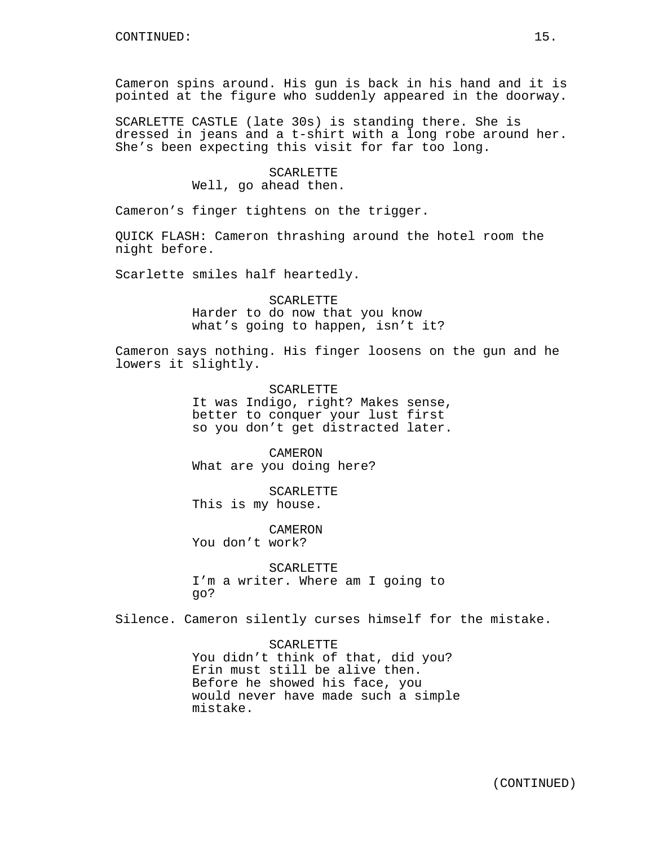Cameron spins around. His gun is back in his hand and it is pointed at the figure who suddenly appeared in the doorway.

SCARLETTE CASTLE (late 30s) is standing there. She is dressed in jeans and a t-shirt with a long robe around her. She's been expecting this visit for far too long.

### SCARLETTE

Well, go ahead then.

Cameron's finger tightens on the trigger.

QUICK FLASH: Cameron thrashing around the hotel room the night before.

Scarlette smiles half heartedly.

SCARLETTE Harder to do now that you know what's going to happen, isn't it?

Cameron says nothing. His finger loosens on the gun and he lowers it slightly.

> SCARLETTE It was Indigo, right? Makes sense, better to conquer your lust first so you don't get distracted later.

CAMERON What are you doing here?

SCARLETTE This is my house.

CAMERON You don't work?

SCARLETTE I'm a writer. Where am I going to go?

Silence. Cameron silently curses himself for the mistake.

SCARLETTE You didn't think of that, did you? Erin must still be alive then. Before he showed his face, you would never have made such a simple mistake.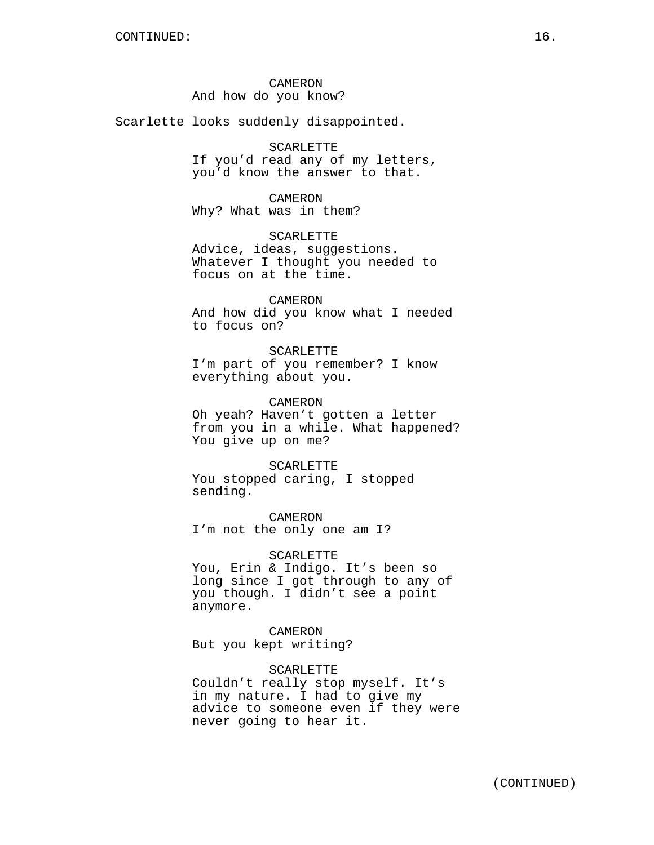CAMERON And how do you know?

Scarlette looks suddenly disappointed.

### SCARLETTE

If you'd read any of my letters, you'd know the answer to that.

### CAMERON

Why? What was in them?

### SCARLETTE

Advice, ideas, suggestions. Whatever I thought you needed to focus on at the time.

### CAMERON

And how did you know what I needed to focus on?

### SCARLETTE

I'm part of you remember? I know everything about you.

### CAMERON

Oh yeah? Haven't gotten a letter from you in a while. What happened? You give up on me?

### **SCARLETTE**

You stopped caring, I stopped sending.

CAMERON I'm not the only one am I?

### SCARLETTE

You, Erin & Indigo. It's been so long since I got through to any of you though. I didn't see a point anymore.

### CAMERON But you kept writing?

SCARLETTE Couldn't really stop myself. It's in my nature. I had to give my

advice to someone even if they were never going to hear it.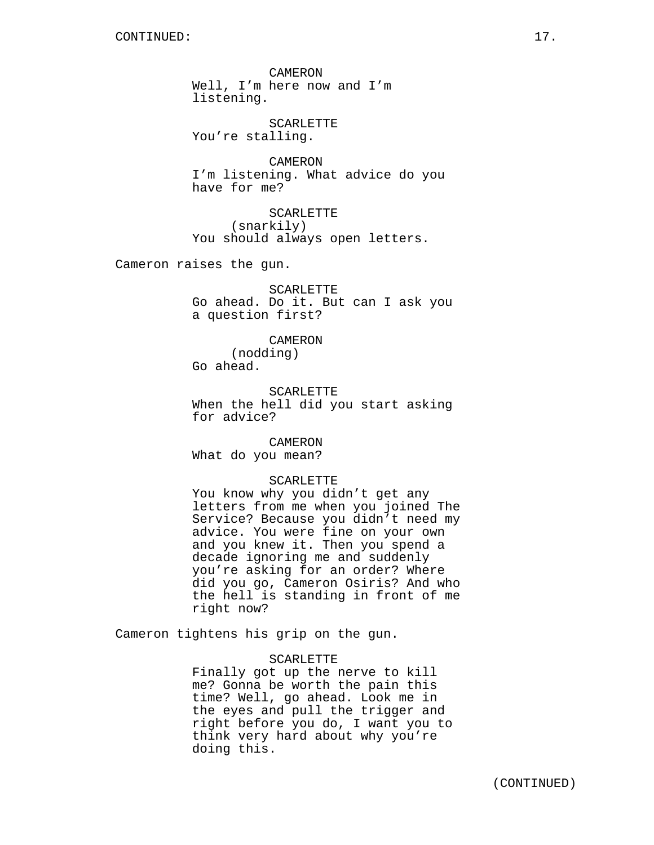CAMERON Well, I'm here now and I'm listening.

SCARLETTE You're stalling.

CAMERON I'm listening. What advice do you have for me?

**SCARLETTE** (snarkily) You should always open letters.

Cameron raises the gun.

SCARLETTE Go ahead. Do it. But can I ask you a question first?

CAMERON (nodding) Go ahead.

SCARLETTE When the hell did you start asking for advice?

**CAMERON** What do you mean?

### SCARLETTE

You know why you didn't get any letters from me when you joined The Service? Because you didn't need my advice. You were fine on your own and you knew it. Then you spend a decade ignoring me and suddenly you're asking for an order? Where did you go, Cameron Osiris? And who the hell is standing in front of me right now?

Cameron tightens his grip on the gun.

### **SCARLETTE**

Finally got up the nerve to kill me? Gonna be worth the pain this time? Well, go ahead. Look me in the eyes and pull the trigger and right before you do, I want you to think very hard about why you're doing this.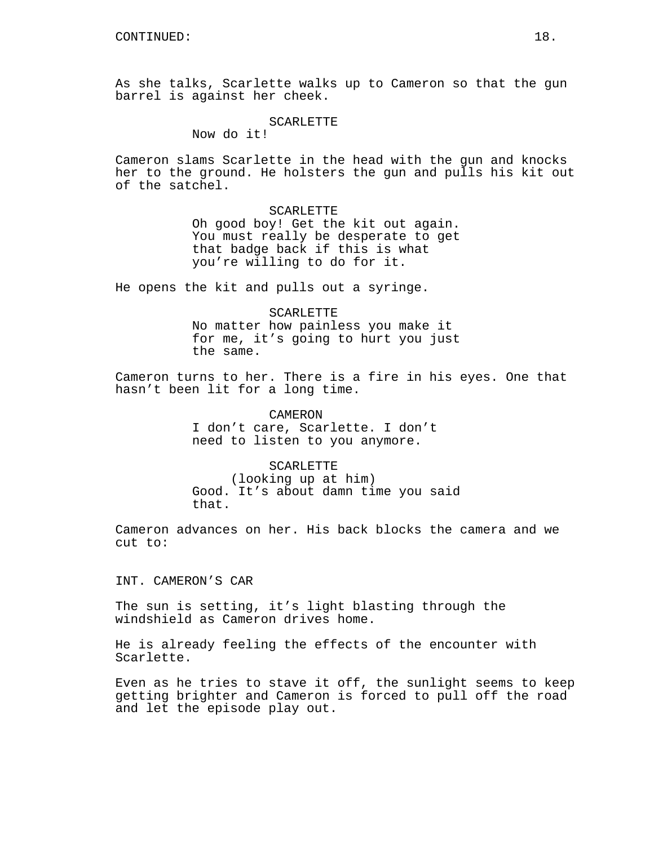As she talks, Scarlette walks up to Cameron so that the gun barrel is against her cheek.

SCARLETTE

Now do it!

Cameron slams Scarlette in the head with the gun and knocks her to the ground. He holsters the gun and pulls his kit out of the satchel.

SCARLETTE

Oh good boy! Get the kit out again. You must really be desperate to get that badge back if this is what you're willing to do for it.

He opens the kit and pulls out a syringe.

SCARLETTE No matter how painless you make it for me, it's going to hurt you just the same.

Cameron turns to her. There is a fire in his eyes. One that hasn't been lit for a long time.

> CAMERON I don't care, Scarlette. I don't need to listen to you anymore.

SCARLETTE (looking up at him) Good. It's about damn time you said that.

Cameron advances on her. His back blocks the camera and we cut to:

INT. CAMERON'S CAR

The sun is setting, it's light blasting through the windshield as Cameron drives home.

He is already feeling the effects of the encounter with Scarlette.

Even as he tries to stave it off, the sunlight seems to keep getting brighter and Cameron is forced to pull off the road and let the episode play out.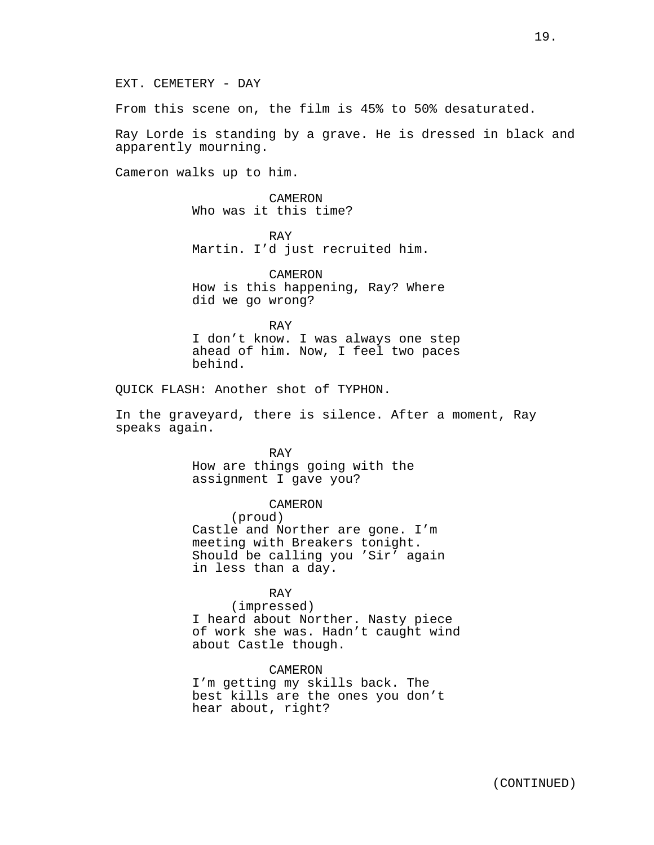EXT. CEMETERY - DAY

From this scene on, the film is 45% to 50% desaturated.

Ray Lorde is standing by a grave. He is dressed in black and apparently mourning.

Cameron walks up to him.

CAMERON Who was it this time?

RAY Martin. I'd just recruited him.

CAMERON How is this happening, Ray? Where did we go wrong?

RAY I don't know. I was always one step ahead of him. Now, I feel two paces behind.

QUICK FLASH: Another shot of TYPHON.

In the graveyard, there is silence. After a moment, Ray speaks again.

> RAY How are things going with the assignment I gave you?

CAMERON (proud) Castle and Norther are gone. I'm meeting with Breakers tonight.

Should be calling you 'Sir' again in less than a day.

### RAY

(impressed) I heard about Norther. Nasty piece of work she was. Hadn't caught wind about Castle though.

CAMERON

I'm getting my skills back. The best kills are the ones you don't hear about, right?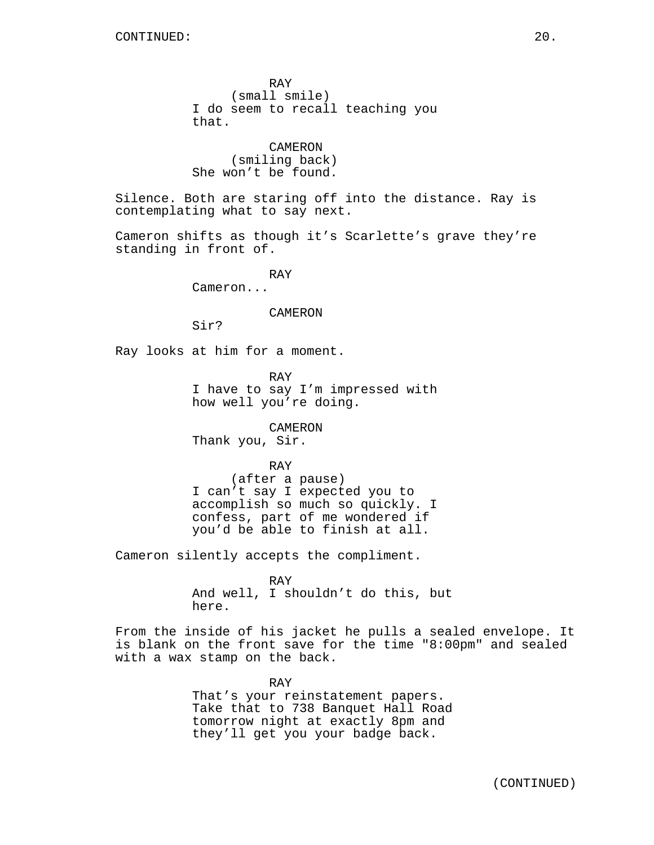RAY (small smile) I do seem to recall teaching you that.

CAMERON (smiling back) She won't be found.

Silence. Both are staring off into the distance. Ray is contemplating what to say next.

Cameron shifts as though it's Scarlette's grave they're standing in front of.

RAY

Cameron...

### CAMERON

Sir?

Ray looks at him for a moment.

RAY I have to say I'm impressed with how well you're doing.

CAMERON Thank you, Sir.

RAY

(after a pause) I can't say I expected you to accomplish so much so quickly. I confess, part of me wondered if you'd be able to finish at all.

Cameron silently accepts the compliment.

RAY And well, I shouldn't do this, but here.

From the inside of his jacket he pulls a sealed envelope. It is blank on the front save for the time "8:00pm" and sealed with a wax stamp on the back.

> RAY That's your reinstatement papers. Take that to 738 Banquet Hall Road tomorrow night at exactly 8pm and they'll get you your badge back.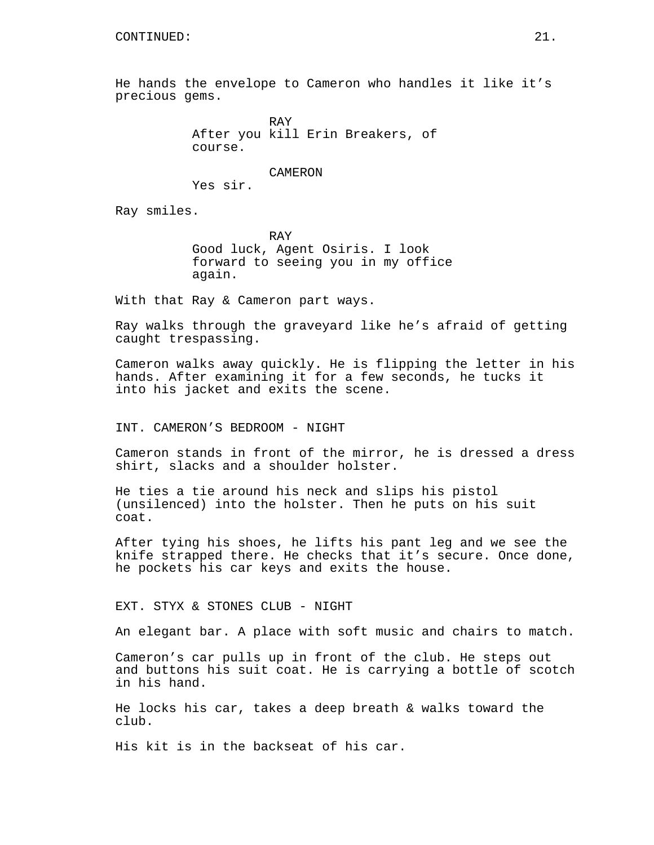He hands the envelope to Cameron who handles it like it's precious gems.

> RAY After you kill Erin Breakers, of course.

CAMERON Yes sir.

Ray smiles.

RAY Good luck, Agent Osiris. I look forward to seeing you in my office again.

With that Ray & Cameron part ways.

Ray walks through the graveyard like he's afraid of getting caught trespassing.

Cameron walks away quickly. He is flipping the letter in his hands. After examining it for a few seconds, he tucks it into his jacket and exits the scene.

INT. CAMERON'S BEDROOM - NIGHT

Cameron stands in front of the mirror, he is dressed a dress shirt, slacks and a shoulder holster.

He ties a tie around his neck and slips his pistol (unsilenced) into the holster. Then he puts on his suit coat.

After tying his shoes, he lifts his pant leg and we see the knife strapped there. He checks that it's secure. Once done, he pockets his car keys and exits the house.

EXT. STYX & STONES CLUB - NIGHT

An elegant bar. A place with soft music and chairs to match.

Cameron's car pulls up in front of the club. He steps out and buttons his suit coat. He is carrying a bottle of scotch in his hand.

He locks his car, takes a deep breath & walks toward the club.

His kit is in the backseat of his car.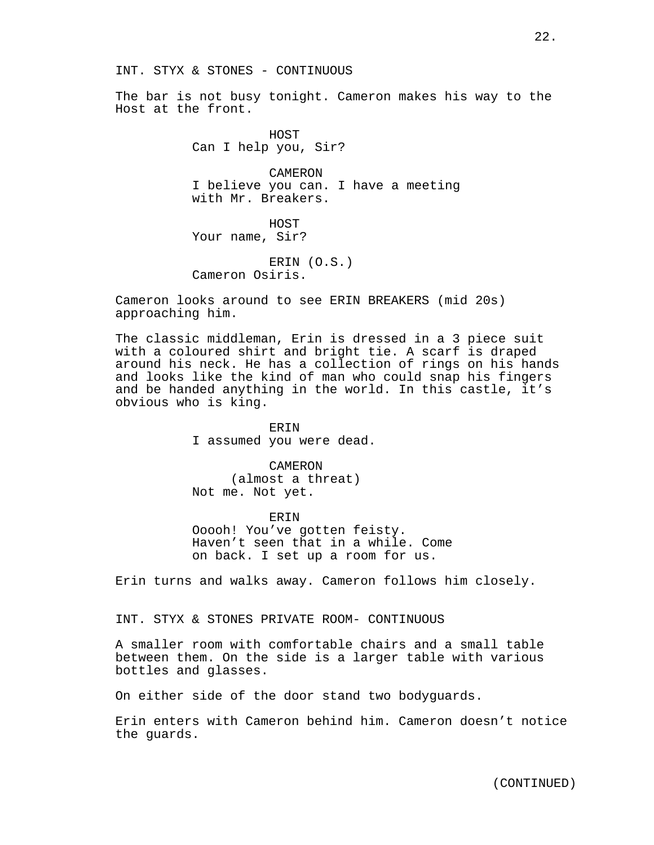The bar is not busy tonight. Cameron makes his way to the Host at the front.

> HOST Can I help you, Sir?

CAMERON I believe you can. I have a meeting with Mr. Breakers.

HOST Your name, Sir?

ERIN (O.S.) Cameron Osiris.

Cameron looks around to see ERIN BREAKERS (mid 20s) approaching him.

The classic middleman, Erin is dressed in a 3 piece suit with a coloured shirt and bright tie. A scarf is draped around his neck. He has a collection of rings on his hands and looks like the kind of man who could snap his fingers and be handed anything in the world. In this castle, it's obvious who is king.

> ERIN I assumed you were dead.

CAMERON (almost a threat) Not me. Not yet.

ERIN Ooooh! You've gotten feisty. Haven't seen that in a while. Come on back. I set up a room for us.

Erin turns and walks away. Cameron follows him closely.

### INT. STYX & STONES PRIVATE ROOM- CONTINUOUS

A smaller room with comfortable chairs and a small table between them. On the side is a larger table with various bottles and glasses.

On either side of the door stand two bodyguards.

Erin enters with Cameron behind him. Cameron doesn't notice the guards.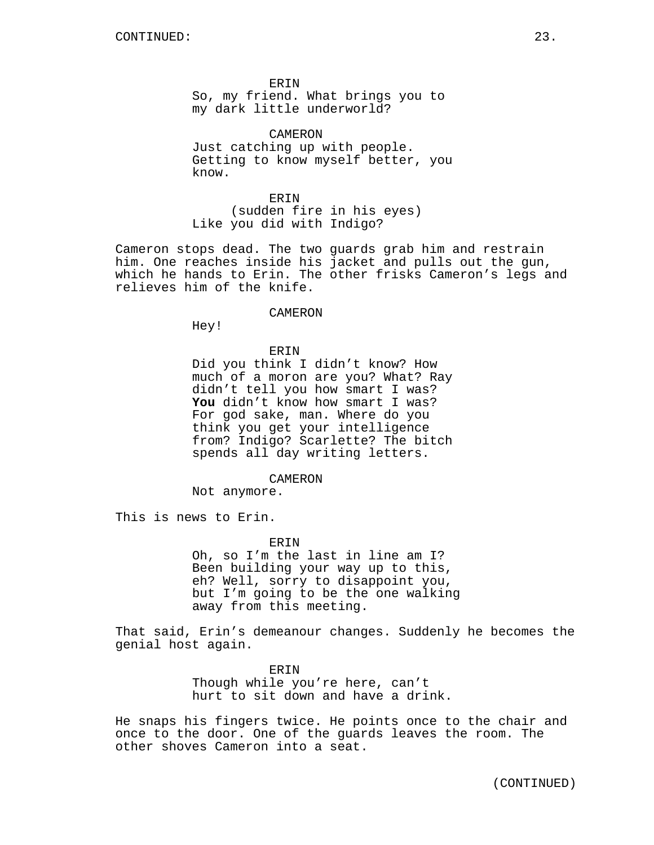ERIN So, my friend. What brings you to my dark little underworld?

CAMERON Just catching up with people. Getting to know myself better, you know.

ERIN (sudden fire in his eyes) Like you did with Indigo?

Cameron stops dead. The two guards grab him and restrain him. One reaches inside his jacket and pulls out the gun, which he hands to Erin. The other frisks Cameron's legs and relieves him of the knife.

### CAMERON

Hey!

# ERIN Did you think I didn't know? How much of a moron are you? What? Ray didn't tell you how smart I was? **You** didn't know how smart I was? For god sake, man. Where do you think you get your intelligence from? Indigo? Scarlette? The bitch spends all day writing letters.

#### CAMERON

Not anymore.

This is news to Erin.

#### ERIN

Oh, so I'm the last in line am I? Been building your way up to this, eh? Well, sorry to disappoint you, but I'm going to be the one walking away from this meeting.

That said, Erin's demeanour changes. Suddenly he becomes the genial host again.

> ERIN Though while you're here, can't hurt to sit down and have a drink.

He snaps his fingers twice. He points once to the chair and once to the door. One of the guards leaves the room. The other shoves Cameron into a seat.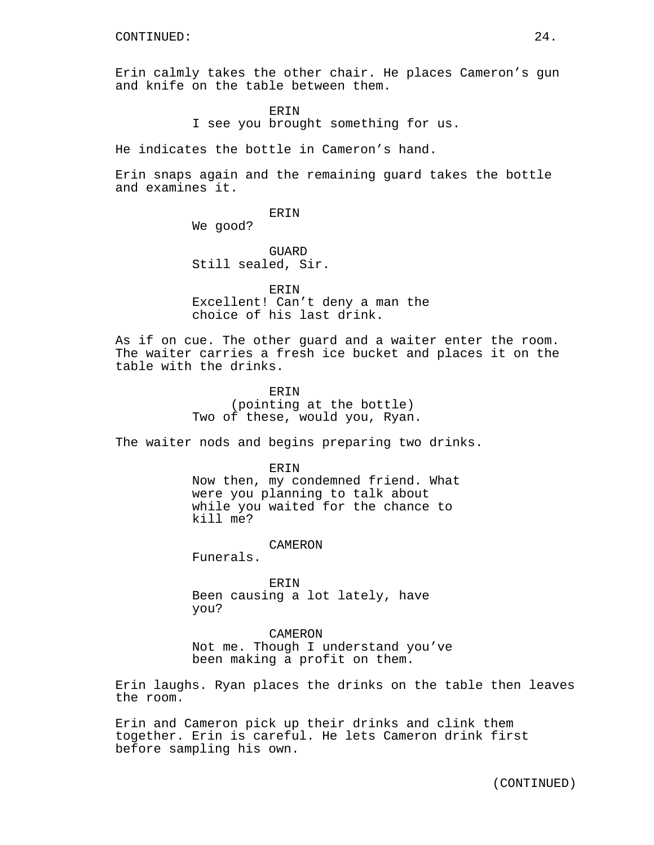Erin calmly takes the other chair. He places Cameron's gun and knife on the table between them.

> ERIN I see you brought something for us.

He indicates the bottle in Cameron's hand.

Erin snaps again and the remaining guard takes the bottle and examines it.

ERIN

We good?

**GUARD** Still sealed, Sir.

ERIN Excellent! Can't deny a man the choice of his last drink.

As if on cue. The other guard and a waiter enter the room. The waiter carries a fresh ice bucket and places it on the table with the drinks.

> ERIN (pointing at the bottle) Two of these, would you, Ryan.

The waiter nods and begins preparing two drinks.

ERIN

Now then, my condemned friend. What were you planning to talk about while you waited for the chance to kill me?

CAMERON

Funerals.

ERIN Been causing a lot lately, have you?

### CAMERON

Not me. Though I understand you've been making a profit on them.

Erin laughs. Ryan places the drinks on the table then leaves the room.

Erin and Cameron pick up their drinks and clink them together. Erin is careful. He lets Cameron drink first before sampling his own.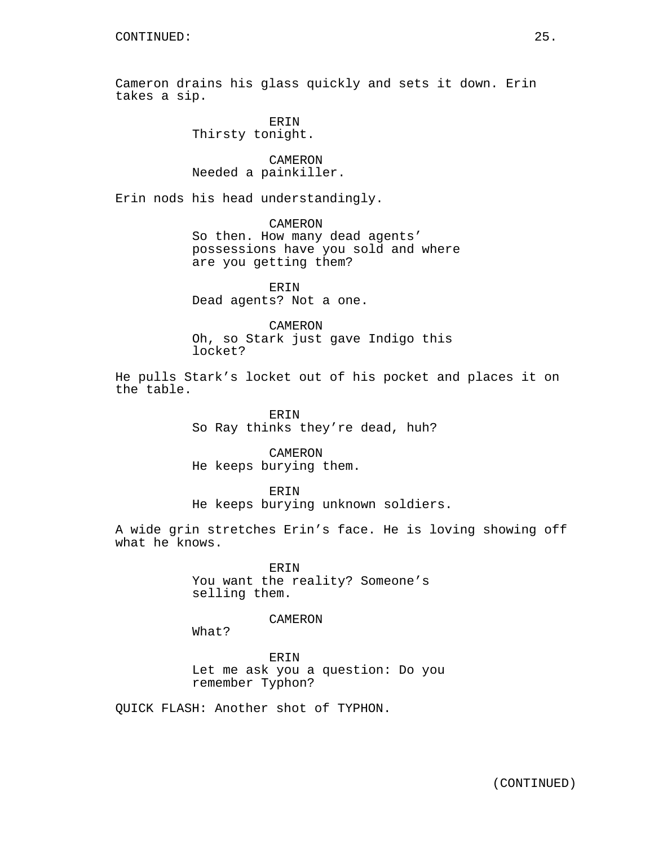Cameron drains his glass quickly and sets it down. Erin takes a sip.

> ERIN Thirsty tonight.

CAMERON Needed a painkiller.

Erin nods his head understandingly.

CAMERON

So then. How many dead agents' possessions have you sold and where are you getting them?

ERIN Dead agents? Not a one.

CAMERON Oh, so Stark just gave Indigo this locket?

He pulls Stark's locket out of his pocket and places it on the table.

> ERIN So Ray thinks they're dead, huh?

CAMERON He keeps burying them.

ERIN He keeps burying unknown soldiers.

A wide grin stretches Erin's face. He is loving showing off what he knows.

> ERIN You want the reality? Someone's selling them.

### CAMERON

What?

ERIN Let me ask you a question: Do you remember Typhon?

QUICK FLASH: Another shot of TYPHON.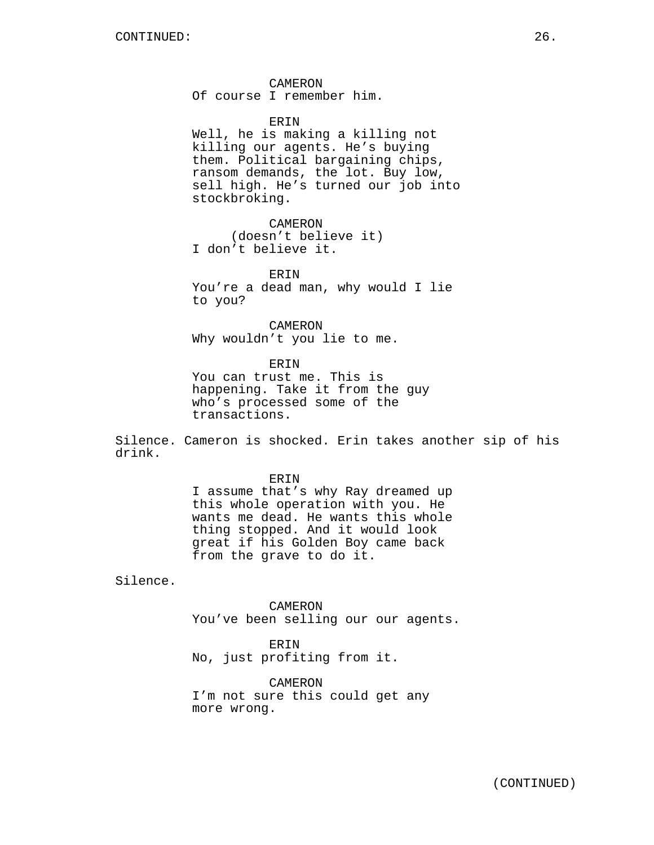CAMERON Of course I remember him.

ERIN

Well, he is making a killing not killing our agents. He's buying them. Political bargaining chips, ransom demands, the lot. Buy low, sell high. He's turned our job into stockbroking.

CAMERON (doesn't believe it) I don't believe it.

**ERIN** You're a dead man, why would I lie to you?

CAMERON Why wouldn't you lie to me.

**ERIN** You can trust me. This is happening. Take it from the guy who's processed some of the transactions.

Silence. Cameron is shocked. Erin takes another sip of his drink.

> ERIN I assume that's why Ray dreamed up this whole operation with you. He wants me dead. He wants this whole thing stopped. And it would look great if his Golden Boy came back from the grave to do it.

Silence.

CAMERON You've been selling our our agents.

ERIN No, just profiting from it.

CAMERON I'm not sure this could get any more wrong.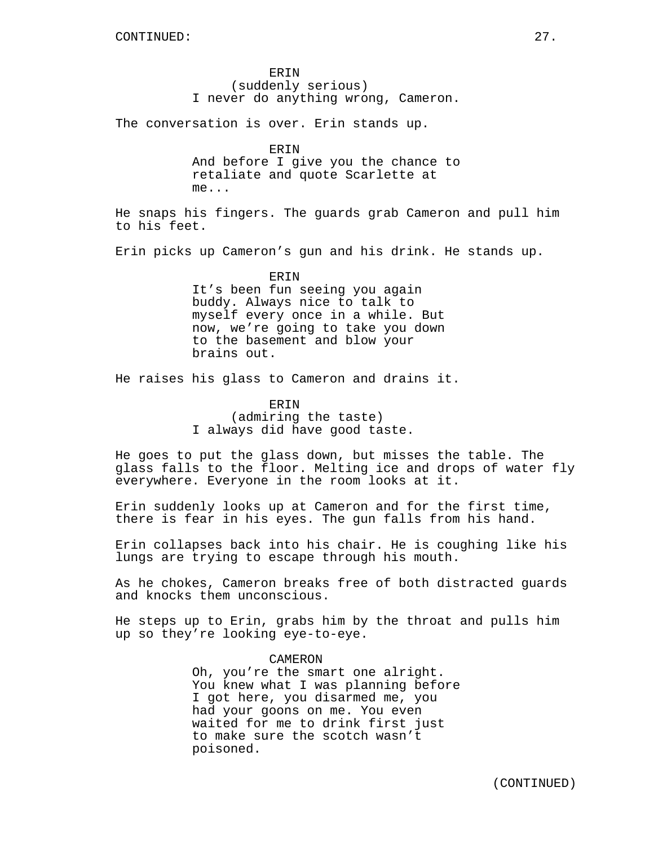**ERIN** (suddenly serious) I never do anything wrong, Cameron.

The conversation is over. Erin stands up.

ERIN And before I give you the chance to retaliate and quote Scarlette at me...

He snaps his fingers. The guards grab Cameron and pull him to his feet.

Erin picks up Cameron's gun and his drink. He stands up.

ERIN It's been fun seeing you again buddy. Always nice to talk to myself every once in a while. But now, we're going to take you down to the basement and blow your brains out.

He raises his glass to Cameron and drains it.

ERIN

(admiring the taste) I always did have good taste.

He goes to put the glass down, but misses the table. The glass falls to the floor. Melting ice and drops of water fly everywhere. Everyone in the room looks at it.

Erin suddenly looks up at Cameron and for the first time, there is fear in his eyes. The gun falls from his hand.

Erin collapses back into his chair. He is coughing like his lungs are trying to escape through his mouth.

As he chokes, Cameron breaks free of both distracted guards and knocks them unconscious.

He steps up to Erin, grabs him by the throat and pulls him up so they're looking eye-to-eye.

> CAMERON Oh, you're the smart one alright. You knew what I was planning before I got here, you disarmed me, you had your goons on me. You even waited for me to drink first just to make sure the scotch wasn't poisoned.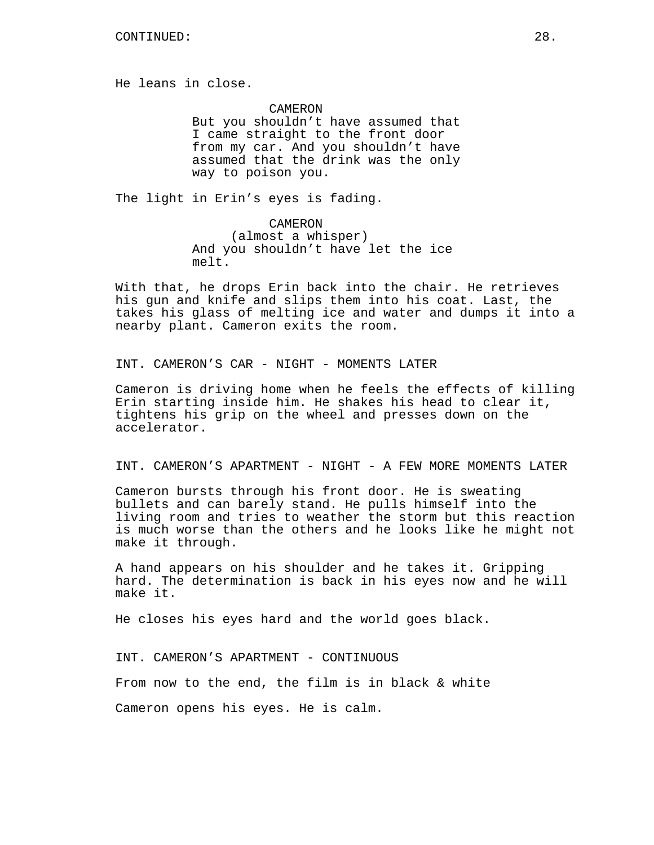He leans in close.

CAMERON But you shouldn't have assumed that I came straight to the front door from my car. And you shouldn't have assumed that the drink was the only way to poison you.

The light in Erin's eyes is fading.

CAMERON (almost a whisper) And you shouldn't have let the ice melt.

With that, he drops Erin back into the chair. He retrieves his gun and knife and slips them into his coat. Last, the takes his glass of melting ice and water and dumps it into a nearby plant. Cameron exits the room.

INT. CAMERON'S CAR - NIGHT - MOMENTS LATER

Cameron is driving home when he feels the effects of killing Erin starting inside him. He shakes his head to clear it, tightens his grip on the wheel and presses down on the accelerator.

INT. CAMERON'S APARTMENT - NIGHT - A FEW MORE MOMENTS LATER

Cameron bursts through his front door. He is sweating bullets and can barely stand. He pulls himself into the living room and tries to weather the storm but this reaction is much worse than the others and he looks like he might not make it through.

A hand appears on his shoulder and he takes it. Gripping hard. The determination is back in his eyes now and he will make it.

He closes his eyes hard and the world goes black.

INT. CAMERON'S APARTMENT - CONTINUOUS From now to the end, the film is in black & white Cameron opens his eyes. He is calm.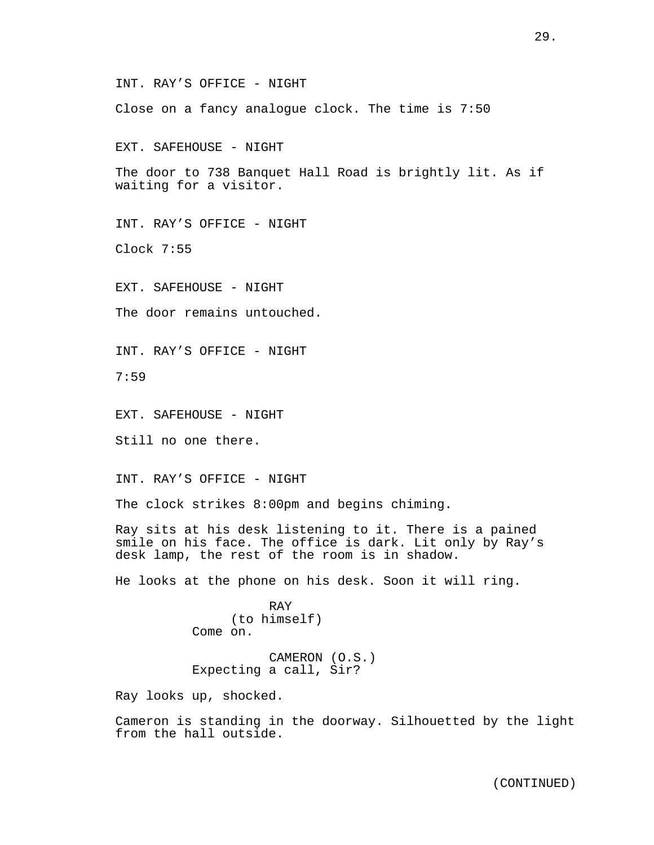INT. RAY'S OFFICE - NIGHT

Close on a fancy analogue clock. The time is 7:50

EXT. SAFEHOUSE - NIGHT

The door to 738 Banquet Hall Road is brightly lit. As if waiting for a visitor.

INT. RAY'S OFFICE - NIGHT

Clock 7:55

EXT. SAFEHOUSE - NIGHT

The door remains untouched.

INT. RAY'S OFFICE - NIGHT

7:59

EXT. SAFEHOUSE - NIGHT

Still no one there.

INT. RAY'S OFFICE - NIGHT

The clock strikes 8:00pm and begins chiming.

Ray sits at his desk listening to it. There is a pained smile on his face. The office is dark. Lit only by Ray's desk lamp, the rest of the room is in shadow.

He looks at the phone on his desk. Soon it will ring.

RAY (to himself) Come on.

CAMERON (O.S.) Expecting a call, Sir?

Ray looks up, shocked.

Cameron is standing in the doorway. Silhouetted by the light from the hall outside.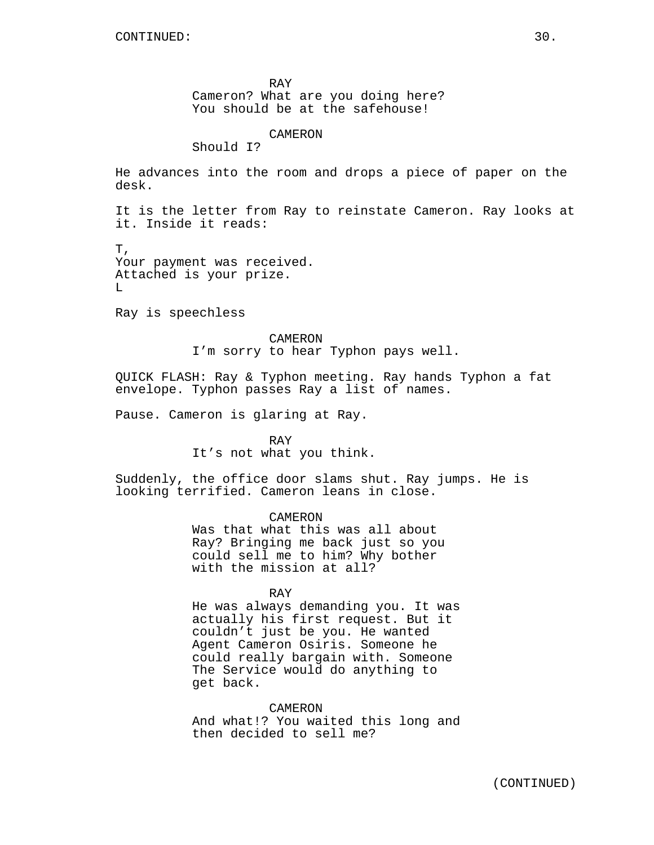RAY Cameron? What are you doing here? You should be at the safehouse!

CAMERON

Should I?

He advances into the room and drops a piece of paper on the desk.

It is the letter from Ray to reinstate Cameron. Ray looks at it. Inside it reads:

T, Your payment was received. Attached is your prize.  $T$ .

Ray is speechless

CAMERON I'm sorry to hear Typhon pays well.

QUICK FLASH: Ray & Typhon meeting. Ray hands Typhon a fat envelope. Typhon passes Ray a list of names.

Pause. Cameron is glaring at Ray.

RAY It's not what you think.

Suddenly, the office door slams shut. Ray jumps. He is looking terrified. Cameron leans in close.

> CAMERON Was that what this was all about Ray? Bringing me back just so you could sell me to him? Why bother with the mission at all?

> > RAY

He was always demanding you. It was actually his first request. But it couldn't just be you. He wanted Agent Cameron Osiris. Someone he could really bargain with. Someone The Service would do anything to get back.

CAMERON And what!? You waited this long and then decided to sell me?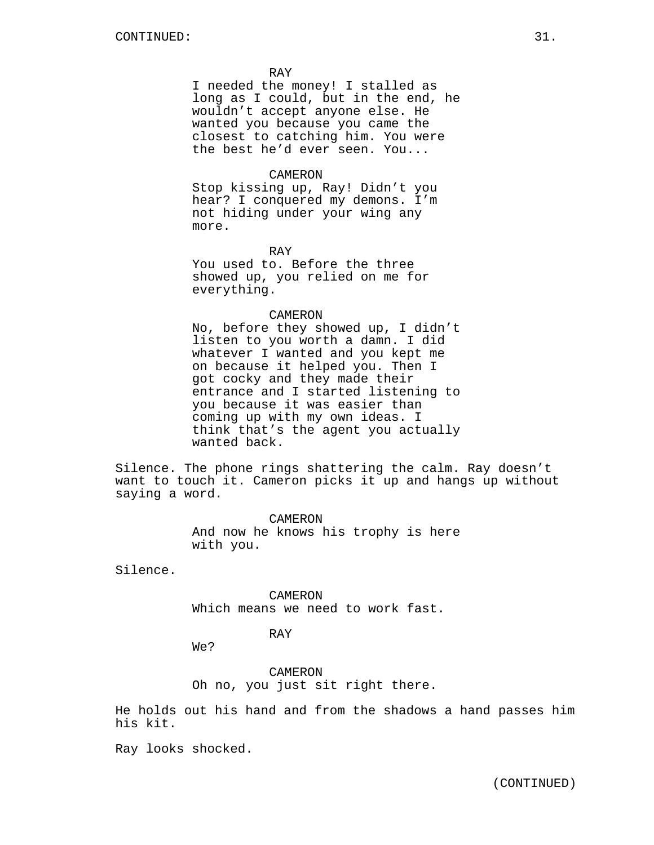RAY

I needed the money! I stalled as long as I could, but in the end, he wouldn't accept anyone else. He wanted you because you came the closest to catching him. You were the best he'd ever seen. You...

### CAMERON

Stop kissing up, Ray! Didn't you hear? I conquered my demons. I'm not hiding under your wing any more.

RAY

You used to. Before the three showed up, you relied on me for everything.

### CAMERON

No, before they showed up, I didn't listen to you worth a damn. I did whatever I wanted and you kept me on because it helped you. Then I got cocky and they made their entrance and I started listening to you because it was easier than coming up with my own ideas. I think that's the agent you actually wanted back.

Silence. The phone rings shattering the calm. Ray doesn't want to touch it. Cameron picks it up and hangs up without saying a word.

> CAMERON And now he knows his trophy is here with you.

Silence.

CAMERON Which means we need to work fast.

# RAY

We?

CAMERON Oh no, you just sit right there.

He holds out his hand and from the shadows a hand passes him his kit.

Ray looks shocked.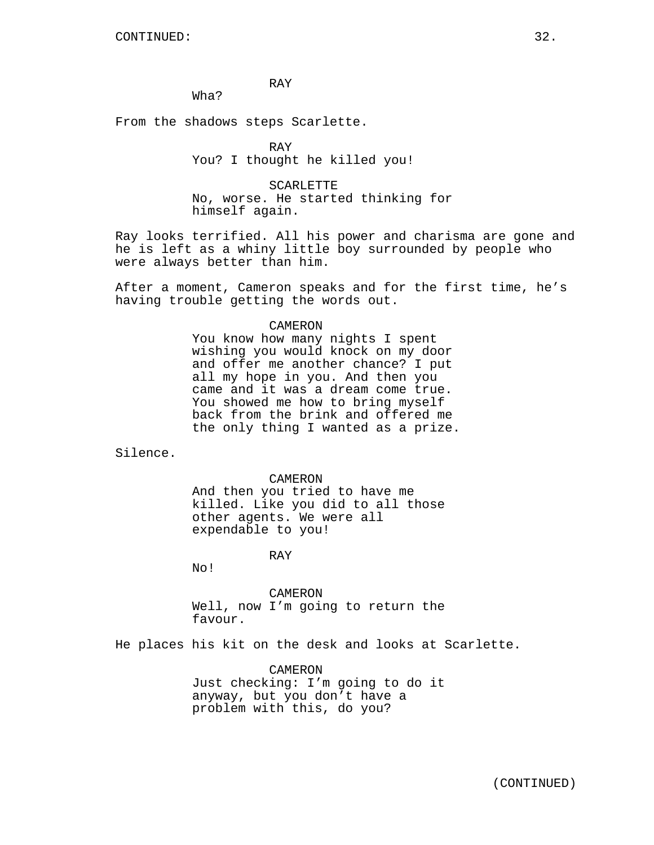RAY

Wha?

From the shadows steps Scarlette.

RAY You? I thought he killed you!

SCARLETTE No, worse. He started thinking for himself again.

Ray looks terrified. All his power and charisma are gone and he is left as a whiny little boy surrounded by people who were always better than him.

After a moment, Cameron speaks and for the first time, he's having trouble getting the words out.

#### CAMERON

You know how many nights I spent wishing you would knock on my door and offer me another chance? I put all my hope in you. And then you came and it was a dream come true. You showed me how to bring myself back from the brink and offered me the only thing I wanted as a prize.

Silence.

CAMERON

And then you tried to have me killed. Like you did to all those other agents. We were all expendable to you!

RAY

No!

CAMERON Well, now I'm going to return the favour.

He places his kit on the desk and looks at Scarlette.

CAMERON Just checking: I'm going to do it anyway, but you don't have a problem with this, do you?